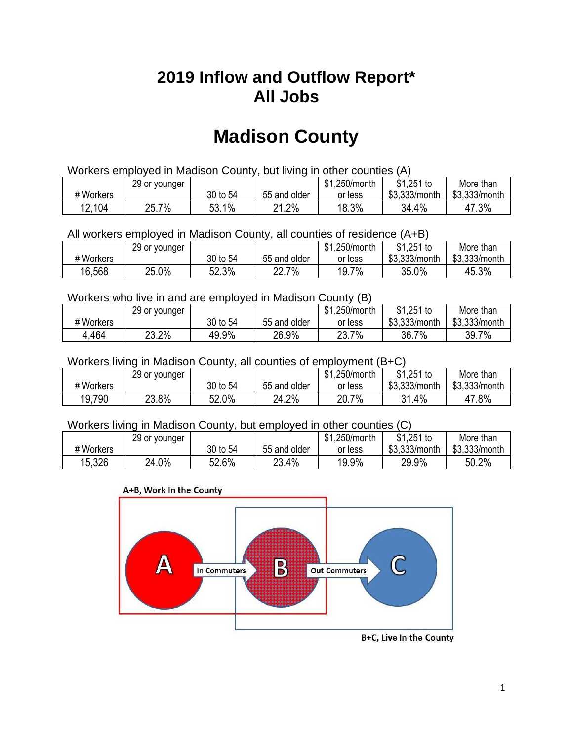## **2019 Inflow and Outflow Report\* All Jobs**

# **Madison County**

| Workers employed in Madison County, but living in other counties (A) |                                                            |          |              |         |               |               |  |  |  |
|----------------------------------------------------------------------|------------------------------------------------------------|----------|--------------|---------|---------------|---------------|--|--|--|
|                                                                      | $$1,251$ to<br>\$1.250/month<br>More than<br>29 or younger |          |              |         |               |               |  |  |  |
| # Workers                                                            |                                                            | 30 to 54 | 55 and older | or less | \$3.333/month | \$3,333/month |  |  |  |
| 12,104                                                               | 25.7%                                                      | 53.1%    | 21.2%        | 18.3%   | 34.4%         | 47.3%         |  |  |  |

All workers employed in Madison County, all counties of residence (A+B)

|           | 29 or younger |          |              | \$1,250/month | $$1,251$ to   | More than     |
|-----------|---------------|----------|--------------|---------------|---------------|---------------|
| # Workers |               | 30 to 54 | 55 and older | or less       | \$3,333/month | \$3,333/month |
| 16,568    | 25.0%         | 52.3%    | 22.7%        | 19.7%         | 35.0%         | 45.3%         |

#### Workers who live in and are employed in Madison County (B)

|           | 29 or younger |          |              | \$1,250/month | $$1,251$ to   | More than     |
|-----------|---------------|----------|--------------|---------------|---------------|---------------|
| # Workers |               | 30 to 54 | 55 and older | or less       | \$3,333/month | \$3,333/month |
| 4,464     | 23.2%         | 49.9%    | 26.9%        | 23.7%<br>າາ   | 36.7<br>$7\%$ | 39.7%         |

#### Workers living in Madison County, all counties of employment (B+C)

|           | 29 or younger |              |              | \$1,250/month | \$1,251 to    | More than     |
|-----------|---------------|--------------|--------------|---------------|---------------|---------------|
| # Workers |               | 30 to 54     | 55 and older | or less       | \$3,333/month | \$3,333/month |
| 19,790    | 23.8%         | 52.0%<br>EO. | 24.2%        | 20.7%         | 31.4%         | 47.8%         |

#### Workers living in Madison County, but employed in other counties (C)

|           | 29 or younger |          |              | \$1,250/month | $$1,251$ to   | More than     |
|-----------|---------------|----------|--------------|---------------|---------------|---------------|
| # Workers |               | 30 to 54 | 55 and older | or less       | \$3,333/month | \$3,333/month |
| 15,326    | 24.0%         | 52.6%    | 23.4%        | 19.9%         | 29.9%         | 50.2%         |

#### A+B, Work In the County